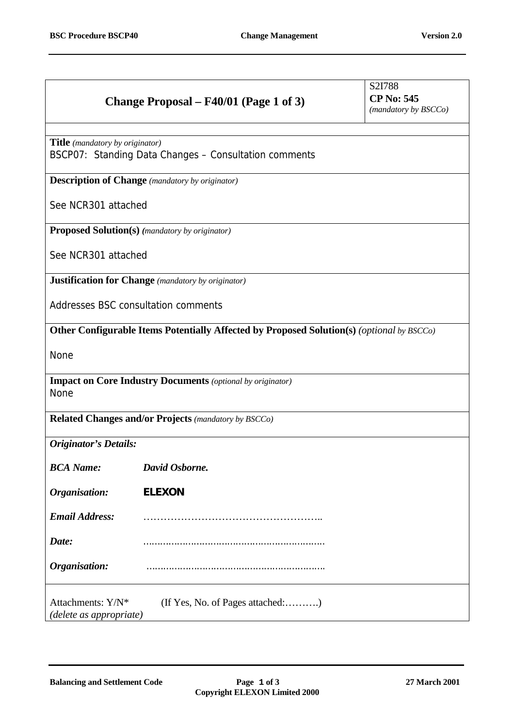|                                                 | Change Proposal – F40/01 (Page 1 of 3)                                                    | S2I788<br><b>CP No: 545</b><br>(mandatory by BSCCo) |
|-------------------------------------------------|-------------------------------------------------------------------------------------------|-----------------------------------------------------|
| <b>Title</b> ( <i>mandatory by originator</i> ) | BSCP07: Standing Data Changes - Consultation comments                                     |                                                     |
|                                                 | <b>Description of Change</b> (mandatory by originator)                                    |                                                     |
| See NCR301 attached                             |                                                                                           |                                                     |
|                                                 | <b>Proposed Solution(s)</b> (mandatory by originator)                                     |                                                     |
| See NCR301 attached                             |                                                                                           |                                                     |
|                                                 | <b>Justification for Change</b> (mandatory by originator)                                 |                                                     |
|                                                 | Addresses BSC consultation comments                                                       |                                                     |
|                                                 | Other Configurable Items Potentially Affected by Proposed Solution(s) (optional by BSCCo) |                                                     |
| None                                            |                                                                                           |                                                     |
| <b>None</b>                                     | <b>Impact on Core Industry Documents</b> (optional by originator)                         |                                                     |
|                                                 | <b>Related Changes and/or Projects (mandatory by BSCCo)</b>                               |                                                     |
| <b>Originator's Details:</b>                    |                                                                                           |                                                     |
| <b>BCA</b> Name:                                | David Osborne.                                                                            |                                                     |
| Organisation:                                   | <b>ELEXON</b>                                                                             |                                                     |
| <b>Email Address:</b>                           |                                                                                           |                                                     |
| Date:                                           |                                                                                           |                                                     |
| Organisation:                                   |                                                                                           |                                                     |
| Attachments: Y/N*<br>(delete as appropriate)    | (If Yes, No. of Pages attached:)                                                          |                                                     |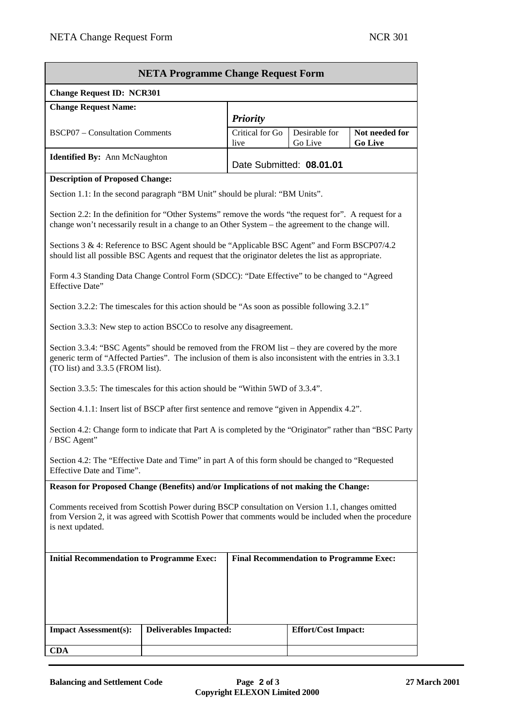| <b>NETA Programme Change Request Form</b>                                                                                                                                                                                                       |                                        |                                            |                            |                                  |  |  |
|-------------------------------------------------------------------------------------------------------------------------------------------------------------------------------------------------------------------------------------------------|----------------------------------------|--------------------------------------------|----------------------------|----------------------------------|--|--|
| <b>Change Request ID: NCR301</b>                                                                                                                                                                                                                |                                        |                                            |                            |                                  |  |  |
| <b>Change Request Name:</b>                                                                                                                                                                                                                     |                                        |                                            |                            |                                  |  |  |
| <b>BSCP07</b> – Consultation Comments                                                                                                                                                                                                           |                                        | <b>Priority</b><br>Critical for Go<br>live | Desirable for<br>Go Live   | Not needed for<br><b>Go Live</b> |  |  |
| <b>Identified By:</b> Ann McNaughton<br>Date Submitted: 08.01.01                                                                                                                                                                                |                                        |                                            |                            |                                  |  |  |
|                                                                                                                                                                                                                                                 | <b>Description of Proposed Change:</b> |                                            |                            |                                  |  |  |
| Section 1.1: In the second paragraph "BM Unit" should be plural: "BM Units".                                                                                                                                                                    |                                        |                                            |                            |                                  |  |  |
| Section 2.2: In the definition for "Other Systems" remove the words "the request for". A request for a<br>change won't necessarily result in a change to an Other System – the agreement to the change will.                                    |                                        |                                            |                            |                                  |  |  |
| Sections 3 & 4: Reference to BSC Agent should be "Applicable BSC Agent" and Form BSCP07/4.2<br>should list all possible BSC Agents and request that the originator deletes the list as appropriate.                                             |                                        |                                            |                            |                                  |  |  |
| Form 4.3 Standing Data Change Control Form (SDCC): "Date Effective" to be changed to "Agreed<br>Effective Date"                                                                                                                                 |                                        |                                            |                            |                                  |  |  |
| Section 3.2.2: The timescales for this action should be "As soon as possible following 3.2.1"                                                                                                                                                   |                                        |                                            |                            |                                  |  |  |
| Section 3.3.3: New step to action BSCCo to resolve any disagreement.                                                                                                                                                                            |                                        |                                            |                            |                                  |  |  |
| Section 3.3.4: "BSC Agents" should be removed from the FROM list – they are covered by the more<br>generic term of "Affected Parties". The inclusion of them is also inconsistent with the entries in 3.3.1<br>(TO list) and 3.3.5 (FROM list). |                                        |                                            |                            |                                  |  |  |
| Section 3.3.5: The timescales for this action should be "Within 5WD of 3.3.4".                                                                                                                                                                  |                                        |                                            |                            |                                  |  |  |
| Section 4.1.1: Insert list of BSCP after first sentence and remove "given in Appendix 4.2".                                                                                                                                                     |                                        |                                            |                            |                                  |  |  |
| Section 4.2: Change form to indicate that Part A is completed by the "Originator" rather than "BSC Party<br>/ BSC Agent"                                                                                                                        |                                        |                                            |                            |                                  |  |  |
| Section 4.2: The "Effective Date and Time" in part A of this form should be changed to "Requested<br>Effective Date and Time".                                                                                                                  |                                        |                                            |                            |                                  |  |  |
| Reason for Proposed Change (Benefits) and/or Implications of not making the Change:                                                                                                                                                             |                                        |                                            |                            |                                  |  |  |
| Comments received from Scottish Power during BSCP consultation on Version 1.1, changes omitted<br>from Version 2, it was agreed with Scottish Power that comments would be included when the procedure<br>is next updated.                      |                                        |                                            |                            |                                  |  |  |
| <b>Initial Recommendation to Programme Exec:</b><br><b>Final Recommendation to Programme Exec:</b>                                                                                                                                              |                                        |                                            |                            |                                  |  |  |
|                                                                                                                                                                                                                                                 |                                        |                                            |                            |                                  |  |  |
|                                                                                                                                                                                                                                                 |                                        |                                            |                            |                                  |  |  |
|                                                                                                                                                                                                                                                 |                                        |                                            |                            |                                  |  |  |
| <b>Impact Assessment(s):</b>                                                                                                                                                                                                                    | <b>Deliverables Impacted:</b>          |                                            | <b>Effort/Cost Impact:</b> |                                  |  |  |
| <b>CDA</b>                                                                                                                                                                                                                                      |                                        |                                            |                            |                                  |  |  |